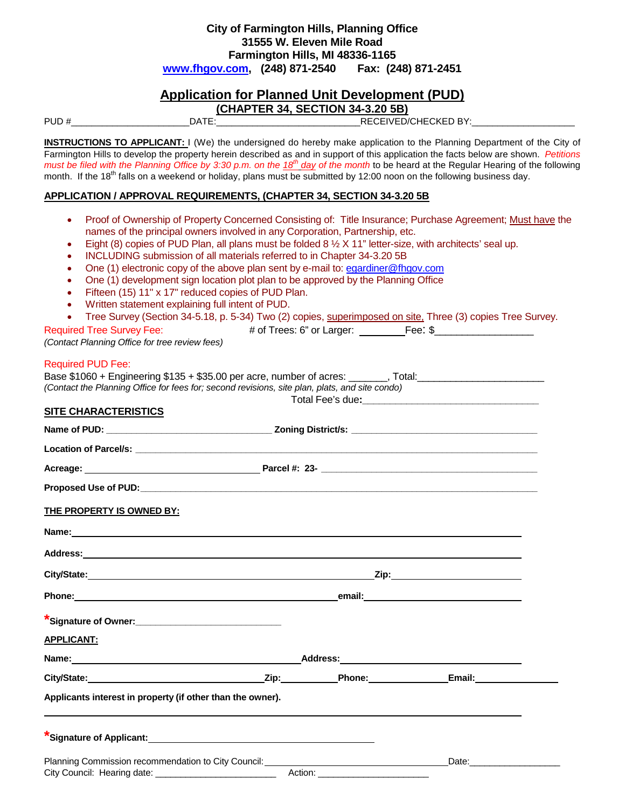#### **City of Farmington Hills, Planning Office 31555 W. Eleven Mile Road Farmington Hills, MI 48336-1165 [www.fhgov.com,](http://www.fhgov.com/) (248) 871-2540 Fax: (248) 871-2451**

# **Application for Planned Unit Development (PUD)**

**(CHAPTER 34, SECTION 34-3.20 5B)** 

PUD #\_\_\_\_\_\_\_\_\_\_\_\_\_\_\_\_\_\_\_\_\_\_\_DATE:\_\_\_\_\_\_\_\_\_\_\_\_\_\_\_\_\_\_\_\_\_\_\_\_\_\_\_\_RECEIVED/CHECKED BY:\_\_\_\_\_\_\_\_\_\_\_\_\_\_\_\_\_\_\_\_

**INSTRUCTIONS TO APPLICANT:** I (We) the undersigned do hereby make application to the Planning Department of the City of Farmington Hills to develop the property herein described as and in support of this application the facts below are shown. *Petitions must be filed with the Planning Office by 3:30 p.m. on the 18<sup>th</sup> day of the month to be heard at the Regular Hearing of the following* month. If the 18<sup>th</sup> falls on a weekend or holiday, plans must be submitted by 12:00 noon on the following business day.

#### **APPLICATION / APPROVAL REQUIREMENTS, (CHAPTER 34, SECTION 34-3.20 5B**

- Proof of Ownership of Property Concerned Consisting of: Title Insurance; Purchase Agreement; Must have the names of the principal owners involved in any Corporation, Partnership, etc.
- Eight (8) copies of PUD Plan, all plans must be folded  $8\frac{1}{2}$  X 11" letter-size, with architects' seal up.
- INCLUDING submission of all materials referred to in Chapter 34-3.20 5B
- One (1) electronic copy of the above plan sent by e-mail to: [egardiner@fhgov.com](mailto:egardiner@fhgov.com)
- One (1) development sign location plot plan to be approved by the Planning Office
- Fifteen (15) 11" x 17" reduced copies of PUD Plan.
- Written statement explaining full intent of PUD.
- Tree Survey (Section 34-5.18, p. 5-34) Two (2) copies, superimposed on site, Three (3) copies Tree Survey.

Required Tree Survey Fee:  $\overline{a}$  # of Trees: 6" or Larger: Fee: \$ *(Contact Planning Office for tree review fees)*

#### Required PUD Fee:

| Base \$1060 + Engineering \$135 + \$35.00 per acre, number of acres:<br>Total:                 |
|------------------------------------------------------------------------------------------------|
| (Contact the Planning Office for fees for: second revisions, site plan, plats, and site condo) |
| Total Fee's due:                                                                               |
|                                                                                                |

#### **SITE CHARACTERISTICS**

| THE PROPERTY IS OWNED BY:                                                                            |  |  |  |  |  |
|------------------------------------------------------------------------------------------------------|--|--|--|--|--|
|                                                                                                      |  |  |  |  |  |
|                                                                                                      |  |  |  |  |  |
|                                                                                                      |  |  |  |  |  |
|                                                                                                      |  |  |  |  |  |
|                                                                                                      |  |  |  |  |  |
| <b>APPLICANT:</b>                                                                                    |  |  |  |  |  |
|                                                                                                      |  |  |  |  |  |
| City/State: City/State: City/State: City/State: City/State: City/State: City/State: City/State: City |  |  |  |  |  |
| Applicants interest in property (if other than the owner).                                           |  |  |  |  |  |
|                                                                                                      |  |  |  |  |  |
|                                                                                                      |  |  |  |  |  |
|                                                                                                      |  |  |  |  |  |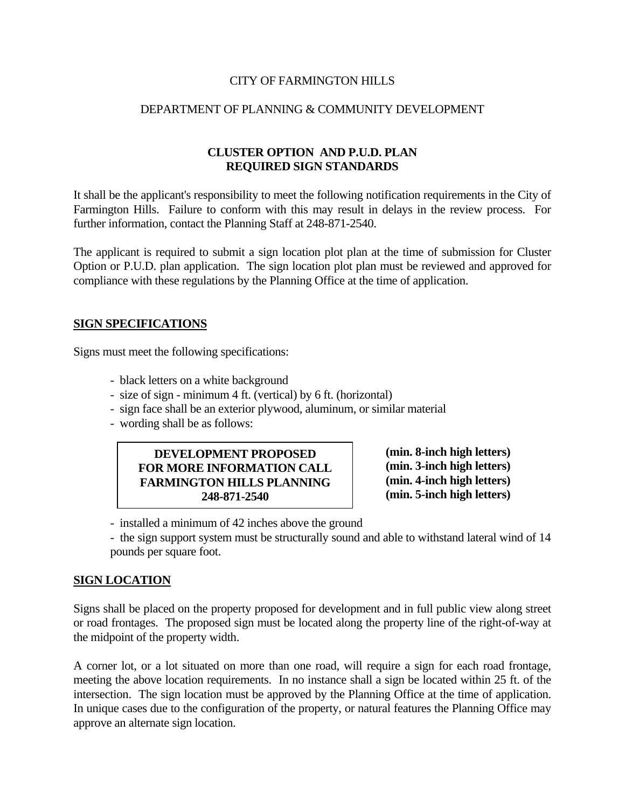### CITY OF FARMINGTON HILLS

## DEPARTMENT OF PLANNING & COMMUNITY DEVELOPMENT

## **CLUSTER OPTION AND P.U.D. PLAN REQUIRED SIGN STANDARDS**

It shall be the applicant's responsibility to meet the following notification requirements in the City of Farmington Hills. Failure to conform with this may result in delays in the review process. For further information, contact the Planning Staff at 248-871-2540.

The applicant is required to submit a sign location plot plan at the time of submission for Cluster Option or P.U.D. plan application. The sign location plot plan must be reviewed and approved for compliance with these regulations by the Planning Office at the time of application.

### **SIGN SPECIFICATIONS**

Signs must meet the following specifications:

- black letters on a white background
- size of sign minimum 4 ft. (vertical) by 6 ft. (horizontal)
- sign face shall be an exterior plywood, aluminum, or similar material
- wording shall be as follows:

## **DEVELOPMENT PROPOSED FOR MORE INFORMATION CALL FARMINGTON HILLS PLANNING 248-871-2540**

**(min. 8-inch high letters) (min. 3-inch high letters) (min. 4-inch high letters) (min. 5-inch high letters)**

- installed a minimum of 42 inches above the ground

 - the sign support system must be structurally sound and able to withstand lateral wind of 14 pounds per square foot.

## **SIGN LOCATION**

Signs shall be placed on the property proposed for development and in full public view along street or road frontages. The proposed sign must be located along the property line of the right-of-way at the midpoint of the property width.

A corner lot, or a lot situated on more than one road, will require a sign for each road frontage, meeting the above location requirements. In no instance shall a sign be located within 25 ft. of the intersection. The sign location must be approved by the Planning Office at the time of application. In unique cases due to the configuration of the property, or natural features the Planning Office may approve an alternate sign location.